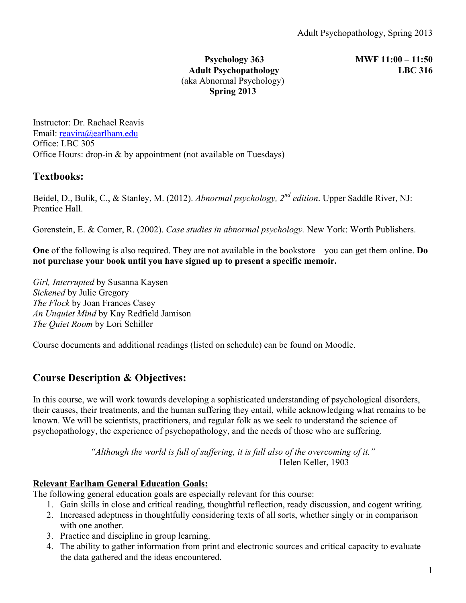#### **Psychology 363 MWF 11:00 – 11:50 Adult Psychopathology LBC 316** (aka Abnormal Psychology) **Spring 2013**

Instructor: Dr. Rachael Reavis Email: reavira@earlham.edu Office: LBC 305 Office Hours: drop-in & by appointment (not available on Tuesdays)

# **Textbooks:**

Beidel, D., Bulik, C., & Stanley, M. (2012). *Abnormal psychology, 2nd edition*. Upper Saddle River, NJ: Prentice Hall.

Gorenstein, E. & Comer, R. (2002). *Case studies in abnormal psychology.* New York: Worth Publishers.

**One** of the following is also required. They are not available in the bookstore – you can get them online. **Do not purchase your book until you have signed up to present a specific memoir.**

*Girl, Interrupted* by Susanna Kaysen *Sickened* by Julie Gregory *The Flock* by Joan Frances Casey *An Unquiet Mind* by Kay Redfield Jamison *The Quiet Room* by Lori Schiller

Course documents and additional readings (listed on schedule) can be found on Moodle.

# **Course Description & Objectives:**

In this course, we will work towards developing a sophisticated understanding of psychological disorders, their causes, their treatments, and the human suffering they entail, while acknowledging what remains to be known. We will be scientists, practitioners, and regular folk as we seek to understand the science of psychopathology, the experience of psychopathology, and the needs of those who are suffering.

> *"Although the world is full of suffering, it is full also of the overcoming of it."* Helen Keller, 1903

## **Relevant Earlham General Education Goals:**

The following general education goals are especially relevant for this course:

- 1. Gain skills in close and critical reading, thoughtful reflection, ready discussion, and cogent writing.
- 2. Increased adeptness in thoughtfully considering texts of all sorts, whether singly or in comparison with one another.
- 3. Practice and discipline in group learning.
- 4. The ability to gather information from print and electronic sources and critical capacity to evaluate the data gathered and the ideas encountered.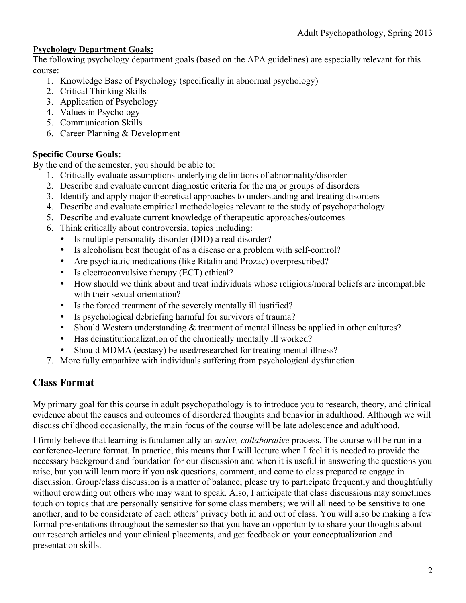## **Psychology Department Goals:**

The following psychology department goals (based on the APA guidelines) are especially relevant for this course:

- 1. Knowledge Base of Psychology (specifically in abnormal psychology)
- 2. Critical Thinking Skills
- 3. Application of Psychology
- 4. Values in Psychology
- 5. Communication Skills
- 6. Career Planning & Development

## **Specific Course Goals:**

By the end of the semester, you should be able to:

- 1. Critically evaluate assumptions underlying definitions of abnormality/disorder
- 2. Describe and evaluate current diagnostic criteria for the major groups of disorders
- 3. Identify and apply major theoretical approaches to understanding and treating disorders
- 4. Describe and evaluate empirical methodologies relevant to the study of psychopathology
- 5. Describe and evaluate current knowledge of therapeutic approaches/outcomes
- 6. Think critically about controversial topics including:
	- Is multiple personality disorder (DID) a real disorder?
	- Is alcoholism best thought of as a disease or a problem with self-control?
	- Are psychiatric medications (like Ritalin and Prozac) overprescribed?
	- Is electroconvulsive therapy (ECT) ethical?
	- How should we think about and treat individuals whose religious/moral beliefs are incompatible with their sexual orientation?
	- Is the forced treatment of the severely mentally ill justified?
	- Is psychological debriefing harmful for survivors of trauma?
	- Should Western understanding & treatment of mental illness be applied in other cultures?
	- Has deinstitutionalization of the chronically mentally ill worked?
	- Should MDMA (ecstasy) be used/researched for treating mental illness?
- 7. More fully empathize with individuals suffering from psychological dysfunction

# **Class Format**

My primary goal for this course in adult psychopathology is to introduce you to research, theory, and clinical evidence about the causes and outcomes of disordered thoughts and behavior in adulthood. Although we will discuss childhood occasionally, the main focus of the course will be late adolescence and adulthood.

I firmly believe that learning is fundamentally an *active, collaborative* process. The course will be run in a conference-lecture format. In practice, this means that I will lecture when I feel it is needed to provide the necessary background and foundation for our discussion and when it is useful in answering the questions you raise, but you will learn more if you ask questions, comment, and come to class prepared to engage in discussion. Group/class discussion is a matter of balance; please try to participate frequently and thoughtfully without crowding out others who may want to speak. Also, I anticipate that class discussions may sometimes touch on topics that are personally sensitive for some class members; we will all need to be sensitive to one another, and to be considerate of each others' privacy both in and out of class. You will also be making a few formal presentations throughout the semester so that you have an opportunity to share your thoughts about our research articles and your clinical placements, and get feedback on your conceptualization and presentation skills.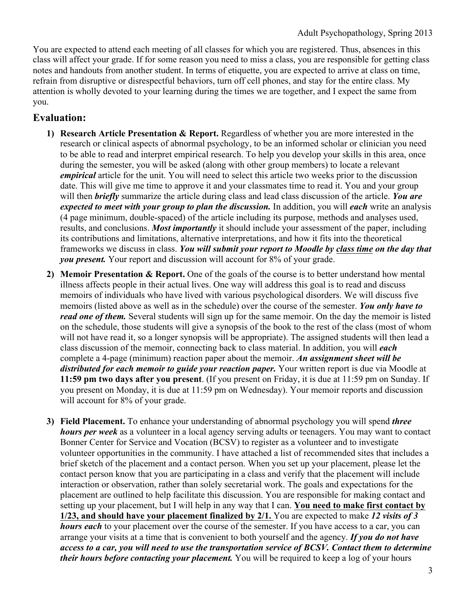You are expected to attend each meeting of all classes for which you are registered. Thus, absences in this class will affect your grade. If for some reason you need to miss a class, you are responsible for getting class notes and handouts from another student. In terms of etiquette, you are expected to arrive at class on time, refrain from disruptive or disrespectful behaviors, turn off cell phones, and stay for the entire class. My attention is wholly devoted to your learning during the times we are together, and I expect the same from you.

# **Evaluation:**

- **1) Research Article Presentation & Report.** Regardless of whether you are more interested in the research or clinical aspects of abnormal psychology, to be an informed scholar or clinician you need to be able to read and interpret empirical research. To help you develop your skills in this area, once during the semester, you will be asked (along with other group members) to locate a relevant *empirical* article for the unit. You will need to select this article two weeks prior to the discussion date. This will give me time to approve it and your classmates time to read it. You and your group will then *briefly* summarize the article during class and lead class discussion of the article. *You are expected to meet with your group to plan the discussion.* In addition, you will *each* write an analysis (4 page minimum, double-spaced) of the article including its purpose, methods and analyses used, results, and conclusions. *Most importantly* it should include your assessment of the paper, including its contributions and limitations, alternative interpretations, and how it fits into the theoretical frameworks we discuss in class. *You will submit your report to Moodle by class time on the day that you present.* Your report and discussion will account for 8% of your grade.
- **2) Memoir Presentation & Report.** One of the goals of the course is to better understand how mental illness affects people in their actual lives. One way will address this goal is to read and discuss memoirs of individuals who have lived with various psychological disorders. We will discuss five memoirs (listed above as well as in the schedule) over the course of the semester. *You only have to read one of them.* Several students will sign up for the same memoir. On the day the memoir is listed on the schedule, those students will give a synopsis of the book to the rest of the class (most of whom will not have read it, so a longer synopsis will be appropriate). The assigned students will then lead a class discussion of the memoir, connecting back to class material. In addition, you will *each* complete a 4-page (minimum) reaction paper about the memoir. *An assignment sheet will be distributed for each memoir to guide your reaction paper.* Your written report is due via Moodle at **11:59 pm two days after you present**. (If you present on Friday, it is due at 11:59 pm on Sunday. If you present on Monday, it is due at 11:59 pm on Wednesday). Your memoir reports and discussion will account for 8% of your grade.
- **3) Field Placement.** To enhance your understanding of abnormal psychology you will spend *three hours per week* as a volunteer in a local agency serving adults or teenagers. You may want to contact Bonner Center for Service and Vocation (BCSV) to register as a volunteer and to investigate volunteer opportunities in the community. I have attached a list of recommended sites that includes a brief sketch of the placement and a contact person. When you set up your placement, please let the contact person know that you are participating in a class and verify that the placement will include interaction or observation, rather than solely secretarial work. The goals and expectations for the placement are outlined to help facilitate this discussion. You are responsible for making contact and setting up your placement, but I will help in any way that I can. **You need to make first contact by 1/23, and should have your placement finalized by 2/1.** You are expected to make *12 visits of 3 hours each* to your placement over the course of the semester. If you have access to a car, you can arrange your visits at a time that is convenient to both yourself and the agency. *If you do not have access to a car, you will need to use the transportation service of BCSV. Contact them to determine their hours before contacting your placement.* You will be required to keep a log of your hours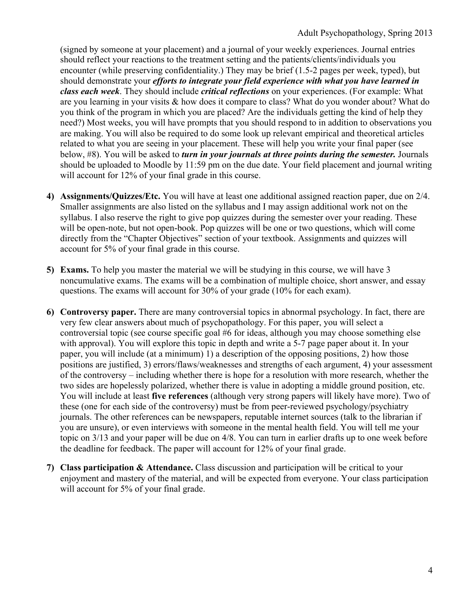(signed by someone at your placement) and a journal of your weekly experiences. Journal entries should reflect your reactions to the treatment setting and the patients/clients/individuals you encounter (while preserving confidentiality.) They may be brief (1.5-2 pages per week, typed), but should demonstrate your *efforts to integrate your field experience with what you have learned in class each week*. They should include *critical reflections* on your experiences. (For example: What are you learning in your visits & how does it compare to class? What do you wonder about? What do you think of the program in which you are placed? Are the individuals getting the kind of help they need?) Most weeks, you will have prompts that you should respond to in addition to observations you are making. You will also be required to do some look up relevant empirical and theoretical articles related to what you are seeing in your placement. These will help you write your final paper (see below, #8). You will be asked to *turn in your journals at three points during the semester.* Journals should be uploaded to Moodle by 11:59 pm on the due date. Your field placement and journal writing will account for 12% of your final grade in this course.

- **4) Assignments/Quizzes/Etc.** You will have at least one additional assigned reaction paper, due on 2/4. Smaller assignments are also listed on the syllabus and I may assign additional work not on the syllabus. I also reserve the right to give pop quizzes during the semester over your reading. These will be open-note, but not open-book. Pop quizzes will be one or two questions, which will come directly from the "Chapter Objectives" section of your textbook. Assignments and quizzes will account for 5% of your final grade in this course.
- **5) Exams.** To help you master the material we will be studying in this course, we will have 3 noncumulative exams. The exams will be a combination of multiple choice, short answer, and essay questions. The exams will account for 30% of your grade (10% for each exam).
- **6) Controversy paper.** There are many controversial topics in abnormal psychology. In fact, there are very few clear answers about much of psychopathology. For this paper, you will select a controversial topic (see course specific goal #6 for ideas, although you may choose something else with approval). You will explore this topic in depth and write a 5-7 page paper about it. In your paper, you will include (at a minimum) 1) a description of the opposing positions, 2) how those positions are justified, 3) errors/flaws/weaknesses and strengths of each argument, 4) your assessment of the controversy – including whether there is hope for a resolution with more research, whether the two sides are hopelessly polarized, whether there is value in adopting a middle ground position, etc. You will include at least **five references** (although very strong papers will likely have more). Two of these (one for each side of the controversy) must be from peer-reviewed psychology/psychiatry journals. The other references can be newspapers, reputable internet sources (talk to the librarian if you are unsure), or even interviews with someone in the mental health field. You will tell me your topic on 3/13 and your paper will be due on 4/8. You can turn in earlier drafts up to one week before the deadline for feedback. The paper will account for 12% of your final grade.
- **7) Class participation & Attendance.** Class discussion and participation will be critical to your enjoyment and mastery of the material, and will be expected from everyone. Your class participation will account for 5% of your final grade.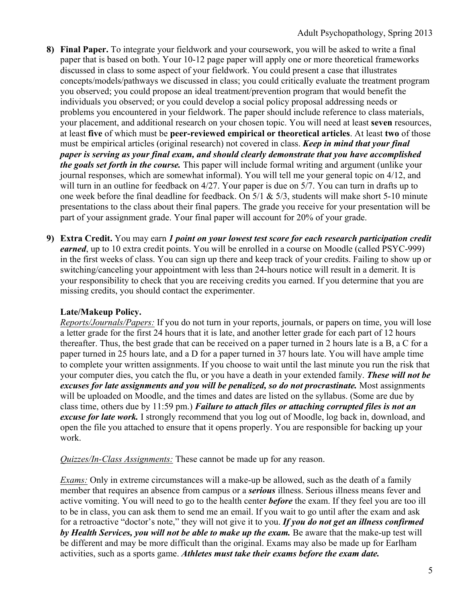- **8) Final Paper.** To integrate your fieldwork and your coursework, you will be asked to write a final paper that is based on both. Your 10-12 page paper will apply one or more theoretical frameworks discussed in class to some aspect of your fieldwork. You could present a case that illustrates concepts/models/pathways we discussed in class; you could critically evaluate the treatment program you observed; you could propose an ideal treatment/prevention program that would benefit the individuals you observed; or you could develop a social policy proposal addressing needs or problems you encountered in your fieldwork. The paper should include reference to class materials, your placement, and additional research on your chosen topic. You will need at least **seven** resources, at least **five** of which must be **peer-reviewed empirical or theoretical articles**. At least **two** of those must be empirical articles (original research) not covered in class. *Keep in mind that your final paper is serving as your final exam, and should clearly demonstrate that you have accomplished the goals set forth in the course.* This paper will include formal writing and argument (unlike your journal responses, which are somewhat informal). You will tell me your general topic on 4/12, and will turn in an outline for feedback on 4/27. Your paper is due on 5/7. You can turn in drafts up to one week before the final deadline for feedback. On  $5/1$  &  $5/3$ , students will make short 5-10 minute presentations to the class about their final papers. The grade you receive for your presentation will be part of your assignment grade. Your final paper will account for 20% of your grade.
- **9) Extra Credit.** You may earn *1 point on your lowest test score for each research participation credit earned*, up to 10 extra credit points. You will be enrolled in a course on Moodle (called PSYC-999) in the first weeks of class. You can sign up there and keep track of your credits. Failing to show up or switching/canceling your appointment with less than 24-hours notice will result in a demerit. It is your responsibility to check that you are receiving credits you earned. If you determine that you are missing credits, you should contact the experimenter.

## **Late/Makeup Policy.**

*Reports/Journals/Papers:* If you do not turn in your reports, journals, or papers on time, you will lose a letter grade for the first 24 hours that it is late, and another letter grade for each part of 12 hours thereafter. Thus, the best grade that can be received on a paper turned in 2 hours late is a B, a C for a paper turned in 25 hours late, and a D for a paper turned in 37 hours late. You will have ample time to complete your written assignments. If you choose to wait until the last minute you run the risk that your computer dies, you catch the flu, or you have a death in your extended family. *These will not be excuses for late assignments and you will be penalized, so do not procrastinate.* Most assignments will be uploaded on Moodle, and the times and dates are listed on the syllabus. (Some are due by class time, others due by 11:59 pm.) *Failure to attach files or attaching corrupted files is not an excuse for late work.* I strongly recommend that you log out of Moodle, log back in, download, and open the file you attached to ensure that it opens properly. You are responsible for backing up your work.

*Quizzes/In-Class Assignments:* These cannot be made up for any reason.

*Exams:* Only in extreme circumstances will a make-up be allowed, such as the death of a family member that requires an absence from campus or a *serious* illness. Serious illness means fever and active vomiting. You will need to go to the health center *before* the exam. If they feel you are too ill to be in class, you can ask them to send me an email. If you wait to go until after the exam and ask for a retroactive "doctor's note," they will not give it to you. *If you do not get an illness confirmed*  by *Health Services, you will not be able to make up the exam.* Be aware that the make-up test will be different and may be more difficult than the original. Exams may also be made up for Earlham activities, such as a sports game. *Athletes must take their exams before the exam date.*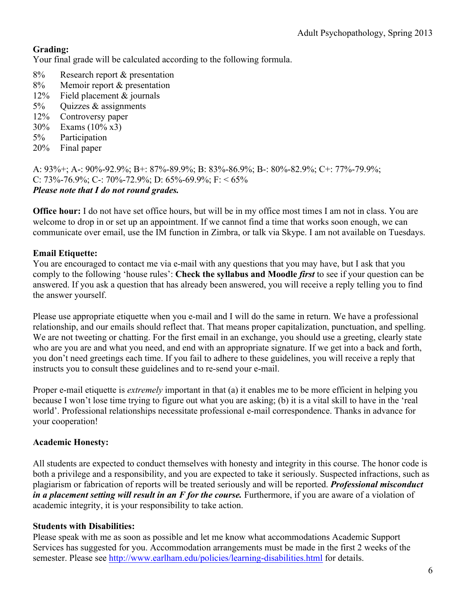# **Grading:**

Your final grade will be calculated according to the following formula.

- 8% Research report & presentation
- 8% Memoir report & presentation
- 12% Field placement & journals
- 5% Quizzes & assignments
- 12% Controversy paper
- 30% Exams (10% x3)
- 5% Participation
- 20% Final paper

A: 93%+; A-: 90%-92.9%; B+: 87%-89.9%; B: 83%-86.9%; B-: 80%-82.9%; C+: 77%-79.9%; C: 73%-76.9%; C-: 70%-72.9%; D: 65%-69.9%; F: < 65% *Please note that I do not round grades.*

**Office hour:** I do not have set office hours, but will be in my office most times I am not in class. You are welcome to drop in or set up an appointment. If we cannot find a time that works soon enough, we can communicate over email, use the IM function in Zimbra, or talk via Skype. I am not available on Tuesdays.

## **Email Etiquette:**

You are encouraged to contact me via e-mail with any questions that you may have, but I ask that you comply to the following 'house rules': **Check the syllabus and Moodle** *first* to see if your question can be answered. If you ask a question that has already been answered, you will receive a reply telling you to find the answer yourself.

Please use appropriate etiquette when you e-mail and I will do the same in return. We have a professional relationship, and our emails should reflect that. That means proper capitalization, punctuation, and spelling. We are not tweeting or chatting. For the first email in an exchange, you should use a greeting, clearly state who are you are and what you need, and end with an appropriate signature. If we get into a back and forth, you don't need greetings each time. If you fail to adhere to these guidelines, you will receive a reply that instructs you to consult these guidelines and to re-send your e-mail.

Proper e-mail etiquette is *extremely* important in that (a) it enables me to be more efficient in helping you because I won't lose time trying to figure out what you are asking; (b) it is a vital skill to have in the 'real world'. Professional relationships necessitate professional e-mail correspondence. Thanks in advance for your cooperation!

## **Academic Honesty:**

All students are expected to conduct themselves with honesty and integrity in this course. The honor code is both a privilege and a responsibility, and you are expected to take it seriously. Suspected infractions, such as plagiarism or fabrication of reports will be treated seriously and will be reported. *Professional misconduct in a placement setting will result in an F for the course.* Furthermore, if you are aware of a violation of academic integrity, it is your responsibility to take action.

## **Students with Disabilities:**

Please speak with me as soon as possible and let me know what accommodations Academic Support Services has suggested for you. Accommodation arrangements must be made in the first 2 weeks of the semester. Please see http://www.earlham.edu/policies/learning-disabilities.html for details.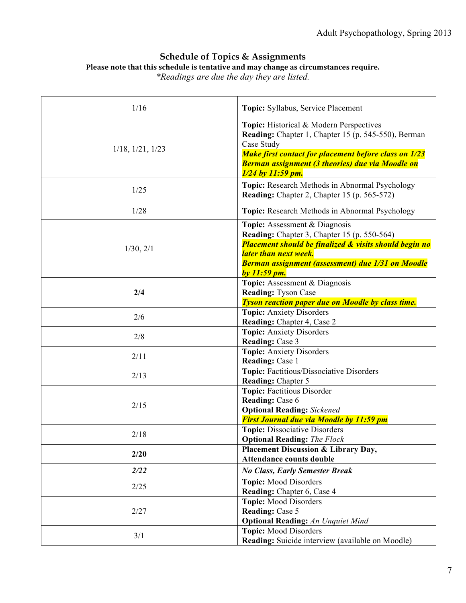## **Schedule of Topics & Assignments** Please note that this schedule is tentative and may change as circumstances require.

*\*Readings are due the day they are listed.*

| 1/16                     | Topic: Syllabus, Service Placement                                                                                                                                                                                                                             |
|--------------------------|----------------------------------------------------------------------------------------------------------------------------------------------------------------------------------------------------------------------------------------------------------------|
| $1/18$ , $1/21$ , $1/23$ | Topic: Historical & Modern Perspectives<br>Reading: Chapter 1, Chapter 15 (p. 545-550), Berman<br>Case Study<br><b>Make first contact for placement before class on 1/23</b><br><b>Berman assignment (3 theories) due via Moodle on</b><br>$1/24$ by 11:59 pm. |
| 1/25                     | Topic: Research Methods in Abnormal Psychology<br><b>Reading:</b> Chapter 2, Chapter 15 (p. 565-572)                                                                                                                                                           |
| 1/28                     | <b>Topic:</b> Research Methods in Abnormal Psychology                                                                                                                                                                                                          |
| 1/30, 2/1                | Topic: Assessment & Diagnosis<br><b>Reading:</b> Chapter 3, Chapter 15 (p. 550-564)<br><b>Placement should be finalized &amp; visits should begin no</b><br>later than next week.<br>Berman assignment (assessment) due 1/31 on Moodle<br>by 11:59 pm.         |
| 2/4                      | Topic: Assessment & Diagnosis<br><b>Reading: Tyson Case</b><br><b>Tyson reaction paper due on Moodle by class time.</b>                                                                                                                                        |
| 2/6                      | <b>Topic:</b> Anxiety Disorders<br>Reading: Chapter 4, Case 2                                                                                                                                                                                                  |
| 2/8                      | <b>Topic:</b> Anxiety Disorders<br><b>Reading: Case 3</b>                                                                                                                                                                                                      |
| 2/11                     | <b>Topic:</b> Anxiety Disorders<br>Reading: Case 1                                                                                                                                                                                                             |
| 2/13                     | Topic: Factitious/Dissociative Disorders<br><b>Reading: Chapter 5</b>                                                                                                                                                                                          |
| 2/15                     | Topic: Factitious Disorder<br><b>Reading: Case 6</b><br><b>Optional Reading:</b> Sickened<br><b>First Journal due via Moodle by 11:59 pm</b>                                                                                                                   |
| 2/18                     | Topic: Dissociative Disorders<br><b>Optional Reading:</b> The Flock                                                                                                                                                                                            |
| 2/20                     | Placement Discussion & Library Day,<br><b>Attendance counts double</b>                                                                                                                                                                                         |
| 2/22                     | <b>No Class, Early Semester Break</b>                                                                                                                                                                                                                          |
| 2/25                     | <b>Topic:</b> Mood Disorders<br>Reading: Chapter 6, Case 4                                                                                                                                                                                                     |
| 2/27                     | <b>Topic: Mood Disorders</b><br><b>Reading: Case 5</b><br><b>Optional Reading:</b> An Unquiet Mind                                                                                                                                                             |
| 3/1                      | <b>Topic:</b> Mood Disorders<br>Reading: Suicide interview (available on Moodle)                                                                                                                                                                               |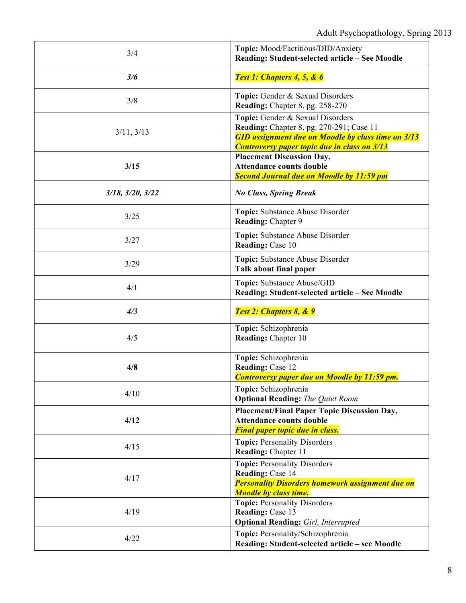| 3/4                      | Topic: Mood/Factitious/DID/Anxiety<br>Reading: Student-selected article - See Moodle                                                                                                                    |
|--------------------------|---------------------------------------------------------------------------------------------------------------------------------------------------------------------------------------------------------|
| 3/6                      | Test 1: Chapters 4, 5, & 6                                                                                                                                                                              |
| 3/8                      | Topic: Gender & Sexual Disorders<br>Reading: Chapter 8, pg. 258-270                                                                                                                                     |
| 3/11, 3/13               | Topic: Gender & Sexual Disorders<br><b>Reading:</b> Chapter 8, pg. 270-291; Case 11<br><b>GID</b> assignment due on Moodle by class time on 3/13<br><b>Controversy paper topic due in class on 3/13</b> |
| 3/15                     | <b>Placement Discussion Day,</b><br><b>Attendance counts double</b><br><b>Second Journal due on Moodle by 11:59 pm</b>                                                                                  |
| $3/18$ , $3/20$ , $3/22$ | <b>No Class, Spring Break</b>                                                                                                                                                                           |
| 3/25                     | Topic: Substance Abuse Disorder<br><b>Reading: Chapter 9</b>                                                                                                                                            |
| 3/27                     | Topic: Substance Abuse Disorder<br>Reading: Case 10                                                                                                                                                     |
| 3/29                     | Topic: Substance Abuse Disorder<br>Talk about final paper                                                                                                                                               |
| 4/1                      | Topic: Substance Abuse/GID<br>Reading: Student-selected article - See Moodle                                                                                                                            |
| 4/3                      | Test 2: Chapters 8, & 9                                                                                                                                                                                 |
| 4/5                      | Topic: Schizophrenia<br><b>Reading:</b> Chapter 10                                                                                                                                                      |
| 4/8                      | Topic: Schizophrenia<br>Reading: Case 12<br><b>Controversy paper due on Moodle by 11:59 pm.</b>                                                                                                         |
| 4/10                     | Topic: Schizophrenia<br><b>Optional Reading:</b> The Quiet Room                                                                                                                                         |
| 4/12                     | Placement/Final Paper Topic Discussion Day,<br><b>Attendance counts double</b><br><b>Final paper topic due in class.</b>                                                                                |
| 4/15                     | <b>Topic: Personality Disorders</b><br>Reading: Chapter 11                                                                                                                                              |
| 4/17                     | <b>Topic: Personality Disorders</b><br>Reading: Case 14<br><b>Personality Disorders homework assignment due on</b><br><b>Moodle by class time.</b>                                                      |
| 4/19                     | <b>Topic: Personality Disorders</b><br>Reading: Case 13<br><b>Optional Reading:</b> Girl, Interrupted                                                                                                   |
| 4/22                     | Topic: Personality/Schizophrenia<br>Reading: Student-selected article - see Moodle                                                                                                                      |